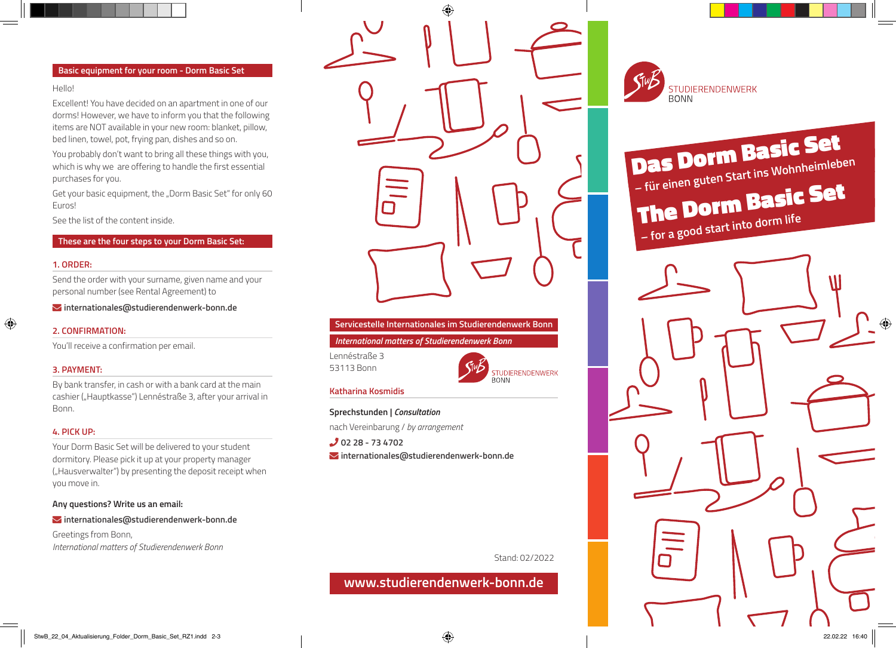### **Basic equipment for your room - Dorm Basic Set**

#### Hello!

Excellent! You have decided on an apartment in one of our dorms! However, we have to inform you that the following items are NOT available in your new room: blanket, pillow, bed linen, towel, pot, frying pan, dishes and so on.

You probably don't want to bring all these things with you, which is why we are offering to handle the first essential purchases for you.

Get your basic equipment, the "Dorm Basic Set" for only 60 Euros!

See the list of the content inside.

# **These are the four steps to your Dorm Basic Set:**

# **1. ORDER:**

Send the order with your surname, given name and your personal number (see Rental Agreement) to

Ó **internationales@studierendenwerk-bonn.de**

### **2. CONFIRMATION:**

You'll receive a confirmation per email.

# **3. PAYMENT:**

By bank transfer, in cash or with a bank card at the main cashier ("Hauptkasse") Lennéstraße 3, after your arrival in Bonn.

### **4. PICK UP:**

Your Dorm Basic Set will be delivered to your student dormitory. Please pick it up at your property manager ("Hausverwalter") by presenting the deposit receipt when you move in.

**Any questions? Write us an email:** 

Ó **internationales@studierendenwerk-bonn.de**

Greetings from Bonn, *International matters of Studierendenwerk Bonn*



# **Servicestelle Internationales im Studierendenwerk Bonn**

*International matters of Studierendenwerk Bonn*

Lennéstraße 3 53113 Bonn



### **Katharina Kosmidis**

**Sprechstunden |** *Consultation*

nach Vereinbarung / *by arrangement*

ȯ **02 28 - 73 4702** Ó **internationales@studierendenwerk-bonn.de**

Stand: 02/2022

**www.studierendenwerk-bonn.de**